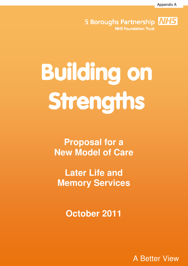Appendix A

**NHS 5 Boroughs Partnership NHS Foundation Trust** 

# **Building on** Strengths

**Proposal for a New Model of Care** 

**Later Life and Memory Services** 

**October 2011** 

A Better View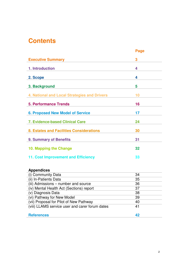## **Contents**

|                                                                                            | <b>Page</b> |
|--------------------------------------------------------------------------------------------|-------------|
| <b>Executive Summary</b>                                                                   | 3           |
| 1. Introduction                                                                            | 4           |
| 2. Scope                                                                                   | 4           |
| 3. Background                                                                              | 5           |
| 4. National and Local Strategies and Drivers                                               | 10          |
| <b>5. Performance Trends</b>                                                               | 16          |
| <b>6. Proposed New Model of Service</b>                                                    | 17          |
| <b>7. Evidence-based Clinical Care</b>                                                     | 24          |
| 8. Estates and Facilities Considerations                                                   | 30          |
| <b>9. Summary of Benefits</b>                                                              | 31          |
| 10. Mapping the Change                                                                     | 32          |
| 11. Cost Improvement and Efficiency                                                        | 33          |
|                                                                                            |             |
| <b>Appendices</b>                                                                          |             |
| (i) Community Data                                                                         | 34          |
| (ii) In-Patients Data                                                                      | 35          |
| (iii) Admissions – number and source                                                       | 36          |
| (iv) Mental Health Act (Sections) report                                                   | 37          |
| (v) Diagnosis Data                                                                         | 38          |
| (vi) Pathway for New Model                                                                 | 39          |
| (vii) Proposal for Pilot of New Pathway<br>(viii) LLAMS service user and carer forum dates | 40<br>41    |
|                                                                                            |             |
| <b>References</b>                                                                          | 42          |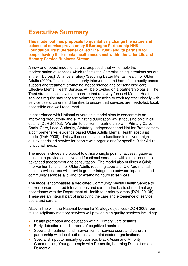## **Executive Summary**

**This model outlines proposals to qualitatively change the nature and balance of service provision by 5 Boroughs Partnership NHS Foundation Trust (hereafter called 'The Trust') and its partners for people having their mental health needs met within the Later Life and Memory Service Business Stream.** 

A new and robust model of care is proposed, that will enable the modernisation of services which reflects the Commissioning intentions set out in the 4 Borough Alliance strategy 'Securing Better Mental Health for Older Adults (2009). This focuses on early intervention and home/community based support and treatment promoting independence and personalised care. Effective Mental Health Services will be provided on a partnership basis. The Trust strategic objectives emphasise that recovery focused Mental Health services require statutory and voluntary agencies to work together closely with service users, carers and families to ensure that services are needs-led, local, accessible and well resourced.

In accordance with National drivers, this model aims to concentrate on improving productivity and eliminating duplication whilst focusing on clinical quality (DoH 2010a). We aim to deliver, in partnership with Primary Care, Social Care, Local Authority, Statutory, Independent and Not for Profit sectors, a comprehensive, evidence based Older Adults Mental Health specialist model (DoH 2008). This will encompass core functions to deliver a high quality needs led service for people with organic and/or specific Older Adult functional needs.

The model includes a proposal to utilise a single point of access / gateway function to provide cognitive and functional screening with direct access to advanced assessment and consultation. The model also outlines a Crisis Intervention function for Older Adults requiring specialist Old Age mental health services, and will provide greater integration between inpatients and community services allowing for extending hours to services.

The model encompasses a dedicated Community Mental Health Service to deliver person-centred interventions and care on the basis of need not age, in accordance with the Department of Health four priority areas (DOH 2010b). These are an integral part of improving the care and experience of service users and carers.

Also, in line with the National Dementia Strategy objectives (DOH 2009) our multidisciplinary memory services will provide high quality services including:

- Health promotion and education within Primary Care settings
- Early detection and diagnosis of cognitive impairment
- Specialist treatment and intervention for service users and carers in partnership with local authorities and third sector organisations.
- Specialist input to minority groups e.g. Black Asian and Minority Communities, Younger people with Dementia, Learning Disabilities and Dementia.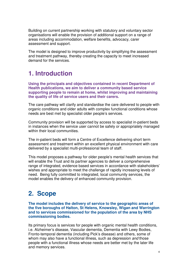Building on current partnership working with statutory and voluntary sector organisations will enable the provision of additional support on a range of areas including accommodation, welfare benefits, advocacy, carer assessment and support.

The model is designed to improve productivity by simplifying the assessment and treatment pathway, thereby creating the capacity to meet increased demand for the services.

## **1. Introduction**

**Using the principals and objectives contained in recent Department of Health publications, we aim to deliver a community based service supporting people to remain at home, whilst improving and maintaining the quality of life of service users and their carers.** 

The care pathway will clarify and standardise the care delivered to people with organic conditions and older adults with complex functional conditions whose needs are best met by specialist older people's services.

Community provision will be supported by access to specialist in-patient beds in instances when the service user cannot be safely or appropriately managed within their local communities.

The in-patient beds will form a Centre of Excellence delivering short term assessment and treatment within an excellent physical environment with care delivered by a specialist multi-professional team of staff.

This model proposes a pathway for older people's mental health services that will enable the Trust and its partner agencies to deliver a comprehensive range of integrated, evidence based services in accordance with stakeholders' wishes and appropriate to meet the challenge of rapidly increasing levels of need. Being fully committed to integrated, local community services, the model enables the delivery of enhanced community provision.

# **2. Scope**

**The model includes the delivery of service to the geographic areas of the five boroughs of Halton, St Helens, Knowsley, Wigan and Warrington and to services commissioned for the population of the area by NHS commissioning bodies.** 

Its primary focus is services for people with organic mental health conditions, i.e. Alzheimer's disease, Vascular dementia, Dementia with Lewy Bodies, Fronto-temporal dementia (including Pick's disease) and others, some of whom may also have a functional illness, such as depression *and* those people with a functional illness whose needs are better met by the later life and memory services.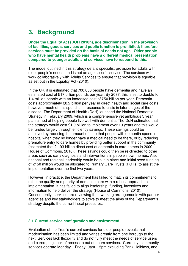# **3. Background**

**Under the Equality Act (DOH 2010h), age discrimination in the provision of facilities, goods, services and public function is prohibited; therefore, services must be provided on the basis of needs not age. Older people who have mental health problems have a different medical presentation compared to younger adults and services have to respond to this.** 

The model outlined in this strategy details specialist provision for adults with older people's needs, and is not an age specific service. The services will work collaboratively with Adults Services to ensure that provision is equable as set out in the Equality Act (2010).

In the UK, it is estimated that 700,000 people have dementia and have an estimated cost of £17 billion pounds per year. By 2037, this is set to double to 1.4 million people with an increased cost of £50 billion per year. Dementia costs approximately £8.2 billion per year in direct health and social care costs; however, much of this spend is in response to crisis in later stages of the disease. The Department of Health (DoH) launched the National Dementia Strategy in February 2009, which is a comprehensive yet ambitious 5 year plan aimed at helping people live well with dementia. The DoH estimated that the strategy would cost £1.9 billion to implement over 10 years and this would be funded largely through efficiency savings. These savings could be achieved by reducing the amount of time that people with dementia spend in hospital when they no longer have a medical need to be there, or by reducing premature entry to care homes by providing better support in the community (estimated that £1.93 billion direct cost of dementia in care homes in 2009: House of Commons, 2010). These savings could then be re-directed to other areas such as early diagnosis and interventions in people's own homes. Also, national and regional leadership would be put in place and initial seed funding of £150 million would be allocated to Primary Care Trusts (PCTs) to assist the implementation over the first two years.

However, in practice, the Department has failed to match its commitments to raise the quality and priority of dementia care with a robust approach to implementation. It has failed to align leadership, funding, incentives and information to help deliver the strategy (House of Commons, 2010). Consequently, services are reviewing their working arrangements with partner agencies and key stakeholders to strive to meet the aims of the Department's strategy despite the current fiscal pressures.

#### **3.1 Current service configuration and environment**

Evaluation of the Trust's current services for older people reveals that modernisation has been limited and varies greatly from one borough to the next. Services lack flexibility and do not fully meet the needs of service users and carers, e.g. lack of access to out of hours services. Currently, community services operate Monday – Friday, 9am – 5pm excluding Bank Holidays, and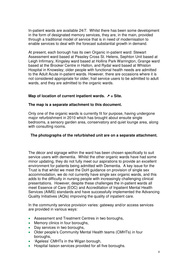In-patient wards are available 24/7. Whilst there has been some development in the form of designated memory services, they are, in the main, provided through a traditional model of service that is in need of modernisation to enable services to deal with the forecast substantial growth in demand.

At present, each borough has its own Organic in-patient ward: Stewart Assessment ward based at Peasley Cross St. Helens, Sephton Unit based at Leigh Infirmary, Kingsley ward based at Hollins Park Warrington, Grange ward based at the Brooker Centre in Halton, and Rydal ward based at Whiston Hospital in Knowsley; older people with functional health needs are admitted to the Adult Acute in-patient wards. However, there are occasions where it is not considered appropriate for older, frail service users to be admitted to adult wards, and they are admitted to the organic wards.

#### Map of location of current inpatient wards.  $\bar{z}$  = Site.

#### **The map is a separate attachment to this document.**

Only one of the organic wards is currently fit for purpose, having undergone major refurbishment in 2010 which has brought about ensuite single bedrooms, a sensory garden area, conservatory and quiet lounge area, along with consulting rooms.

#### **The photographs of the refurbished unit are on a separate attachment.**

The décor and signage within the ward has been chosen specifically to suit service users with dementia. Whilst the other organic wards have had some minor updating, they do not fully meet our aspirations to provide an excellent environment for patients being admitted with Dementia. A key issue for the Trust is that whilst we meet the DoH guidance on provision of single sex accommodation, we do not currently have single sex organic wards, and this adds to the difficulty in nursing people with increasingly challenging clinical presentations. However, despite these challenges the in-patient wards all meet Essence of Care (EOC) and Accreditation of Inpatient Mental Health Services (AIMS) standards and have successfully implemented the Advancing Quality Initiatives (AQIs) improving the quality of inpatient care.

In the community service provision varies: gateway and/or access services are provided in various ways:

- Assessment and Treatment Centres in two boroughs,
- Memory clinics in four boroughs,
- Day services in two boroughs,
- Older people's Community Mental Health teams (CMHTs) in four boroughs,
- 'Ageless' CMHTs in the Wigan borough,
- Hospital liaison services provided for all five boroughs.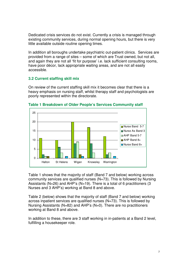Dedicated crisis services do not exist. Currently a crisis is managed through existing community services, during normal opening hours, but there is very little available outside routine opening times.

In addition all boroughs undertake psychiatric out-patient clinics. Services are provided from a range of sites – some of which are Trust owned, but not all, and again they are not all 'fit for purpose' i.e. lack sufficient consulting rooms, have poor décor, lack appropriate waiting areas, and are not all easily accessible.

#### **3.2 Current staffing skill mix**

On review of the current staffing skill mix it becomes clear that there is a heavy emphasis on nursing staff, whilst therapy staff and psychologists are poorly represented within the directorate.



**Table 1 Breakdown of Older People's Services Community staff**

Table 1 shows that the majority of staff (Band 7 and below) working across community services are qualified nurses (N=73). This is followed by Nursing Assistants (N=26) and AHP's (N=19). There is a total of 6 practitioners (3 Nurses and 3 AHP's) working at Band 8 and above.

Table 2 (below) shows that the majority of staff (Band 7 and below) working across inpatient services are qualified nurses (N=73). This is followed by Nursing Assistants (N=82) and AHP's (N=0). There are no practitioners working at Band 8 and above.

In addition to these, there are 3 staff working in in-patients at a Band 2 level, fulfilling a housekeeper role.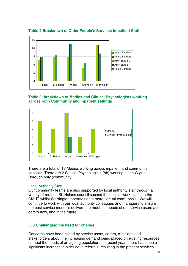

**Table 2 Breakdown of Older People's Services In-patient Staff** 

**Table 3: breakdown of Medics and Clinical Psychologists working across both Community and Inpatient settings** 



There are a total of 18 Medics working across inpatient and community services. There are 2 Clinical Psychologists (8b) working in the Wigan Borough only (community).

#### Local Authority Staff

Our community teams are also supported by local authority staff through a variety of routes. St. Helens council second their social work staff into the CMHT whilst Warrington operates on a more "virtual team" basis. We will continue to work with our local authority colleagues and managers to ensure the best service model is delivered to meet the needs of our service users and carers now, and in the future.

#### **3.3 Challenges: the need for change**

Concerns have been raised by service users, carers, clinicians and stakeholders about the increasing demand being placed on existing resources to meet the needs of an ageing population. In recent years there has been a significant increase in older adult referrals, resulting in the present services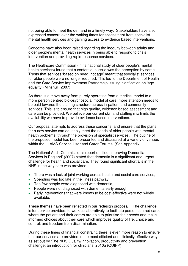not being able to meet the demand in a timely way. Stakeholders have also expressed concern over the waiting times for assessment from specialist mental health services and gaining access to evidence based interventions.

Concerns have also been raised regarding the inequity between adults and older people's mental health services in being able to respond to crisis intervention and providing rapid response services.

The Healthcare Commission (in its national study of older people's mental health services) found that a contentious issue was the perception by some Trusts that services 'based on need, not age' meant that specialist services for older people were no longer required. This led to the Department of Health and the Care Service Improvement Partnership issuing clarification on 'age equality' (Minshull, 2007).

As there is a move away from purely operating from a medical model to a more person centred bio-psychosocial model of care, more attention needs to be paid towards the staffing structure across in-patient and community services. This is to ensure that high quality, evidence based assessment and care can be provided. We believe our current skill and staffing mix limits the availability we have to provide evidence based interventions.

Our proposal attempts to address these concerns, and ensure that the plans for a new service can equitably meet the needs of older people with mental health problems, through the provision of specialist services. The outline of the proposed model has been presented and discussed at a variety of venues within the LLAMS Service User and Carer Forums. (See Appendix

The National Audit Commission's report entitled 'Improving Dementia Services in England' (2007) stated that dementia is a significant and urgent challenge for health and social care. They found significant shortfalls in the NHS in the way care was provided:

- There was a lack of joint working across health and social care services,
- Spending was too late in the illness pathway,
- Too few people were diagnosed with dementia,
- People were not diagnosed with dementia early enough,
- Early interventions that were known to be cost-effective were not widely available.

These themes have been reflected in our redesign proposal. The challenge is for service providers to work collaboratively to facilitate person centred care, where the patient and their carers are able to prioritise their needs and make informed choices about their care which improves quality of life, choice and control, and freedom from discrimination.

During these times of financial constraint, there is even more reason to ensure that our services are provided in the most efficient and clinically effective way, as set out by 'The NHS Quality/Innovation, productivity and prevention challenge: an introduction for clinicians' 2010a (QUIPP).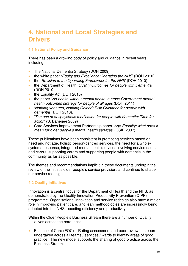# **4. National and Local Strategies and Drivers**

#### **4.1 National Policy and Guidance**

There has been a growing body of policy and guidance in recent years including:

- The National Dementia Strategy (DOH 2009),
- the white paper '*Equity and Excellence: liberating the NHS'* (DOH 2010)
- the 'Revision to the Operating Framework for the NHS' (DOH 2010)
- the Department of Health 'Quality Outcomes for people with Dementia' (DOH 2010 )
- the Equality Act (DOH 2010)
- the paper 'No health without mental health: a cross-Government mental health outcomes strategy for people of all ages (DOH 2011)
- 'Nothing ventured, Nothing Gained: Risk Guidance for people with dementia' (DOH 2010),
- 'The use of antipsychotic medication for people with dementia: Time for action' (S. Banerjee 2009)
- Care Services Improvement Partnership paper 'Age Equality: what does it mean for older people's mental health services' (CSIP 2007)

These publications have been consistent in promoting services based on need and not age, holistic person-centred services, the need for a wholesystems response, integrated mental health services involving service users and carers, supporting carers and supporting people with dementia in the community as far as possible.

The themes and recommendations implicit in these documents underpin the review of the Trust's older people's service provision, and continue to shape our service redesign.

#### **4.2 Quality Initiatives**

Innovation is a central focus for the Department of Health and the NHS, as demonstrated by the Quality Innovation Productivity Prevention (QIPP) programme. Organisational innovation and service redesign also have a major role in improving patient care, and lean methodologies are increasingly being adopted into the NHS, boosting efficiency and productivity.

Within the Older People's Business Stream there are a number of Quality Initiatives across the boroughs:

• Essence of Care (EOC) – Rating assessment and peer review has been undertaken across all teams / services / wards to identify areas of good practice. The new model supports the sharing of good practice across the Business Stream.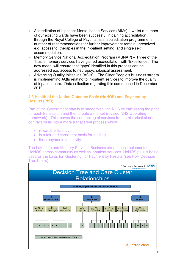- Accreditation of Inpatient Mental health Services (AIMs) whilst a number of our existing wards have been successful in gaining accreditation through the Royal College of Psychiatrists' accreditation programme, a number of recommendations for further improvement remain unresolved e.g. access to therapies in the in-patient setting, and single sex accommodation.
- Memory Service National Accreditation Program (MSNAP) Three of the Trust's memory services have gained accreditation with 'Excellence'. The new model will ensure that 'gaps' identified in this process can be addressed e.g. access to neuropsychological assessment.
- Advancing Quality Initiatives (AQIs) The Older People's business stream is implementing AQIs relating to in-patient services to improve the quality of inpatient care. Data collection regarding this commenced in December 2010.

#### **4.3 Health of the Nation Outcome Scale (HoNOS) and Payment by Results (PbR)**

Part of the Government plan is to 'modernise' the NHS by calculating the price for each transaction and then create a market (revised NHS Operating framework). This moves the contracting of services from a historical block contract basis into a more transparent process which:

- rewards efficiency
- is a fair and consistent basis for funding
- links payments to activity.

The Later Life and Memory Services Business stream has implemented HoNOS across community as well as inpatient services. HoNOS plus is being used as the basis for 'clustering' for Payment by Results (see PbR Decision Tree below).

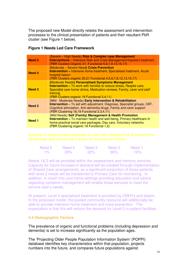The proposed new Model directly relates the assessment and intervention processes to the clinical presentation of patients and their resultant PbR cluster (see Figure 1 below).

#### **Figure 1 Needs Led Care Framework**

| Need 5        | (Severe - High Needs) Risk & Complex case Management<br><b>Interventions</b> – Intensive Risk and Crisis Management/Inpatient treatment<br>(PBR Clusters Organic 21, Functional 5,6,7,8,13,15,17)                                                                        |
|---------------|--------------------------------------------------------------------------------------------------------------------------------------------------------------------------------------------------------------------------------------------------------------------------|
| <b>Need 4</b> | (Moderate - Severe Need) Crisis Prevention<br><b>Intervention</b> – Intensive home treatment, Specialised treatment, Acute<br>hospital liaison<br>(PBR Clusters organic 20,21 Functional 4,5,6,7,8,12,13,15,17)                                                          |
| <b>Need 3</b> | (Moderate Needs) Personalised Symptoms Management<br><b>Intervention - To work with families to reduce stress, Respite care,</b><br>Specialist care home clinics, Medication reviews, Family, carer and staff<br>training<br>(PBR Clusters organic 19 Functional 3,4,11) |
| <b>Need 2</b> | (Mild - Moderate Needs) Early intervention & Rehabilitation<br>Intervention - To aid with adjustment, Diagnose, Specialist groups, CBT,<br>Cognitive stimulation, Anti dementia drugs, Family and carer support<br>(PBR Clustering 18,19 Functional 2,3,4,11)            |
| Need 1        | (Mild Needs) Self (Family) Management & Health Promotion<br><b>Intervention</b> – To maintain health and well being, Primary healthcare In<br>home practical social care packages, Day care, Voluntary networks<br>(PBR Clustering organic 18 Functional 1,2)            |

Analysis of existing open episodes of care has indicated that at present the percentage split across the 5 levels of need are as follows:

| Need 5 | Need 4     | Need 3     | Need 2 | Need 1 |
|--------|------------|------------|--------|--------|
| $1\%$  | <b>28%</b> | <b>22%</b> | 39%    | $10\%$ |

Needs 1& 2 will be provided within the assessment and memory services. Capacity for future increase in demand will be created through implementation of Shared Care arrangements, as a significant proportion of those patients with level 3 needs will be transferred to Primary Care for monitoring. In addition, in-reach into care home settings providing education and advice regarding symptom management will enable those services to meet the service user's needs.

At present, Level 4 specialised treatment is provided by CMHTs and liaison. In the proposed model, the pooled community resource will additionally be able to provide intensive home treatment and crisis prevention. The expectation is that this will reduce the demand for Level 5 in-patient facilities.

#### **4.4 Demographic Factors**

The prevalence of organic and functional problems (including depression and dementia) is set to increase significantly as the population ages.

The 'Projecting Older People Population Information System' (POPPI) database identifies key characteristics within that population, projects numbers into the future, and compares future populations against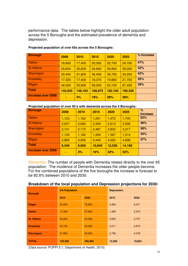performance data. The tables below highlight the older adult population across the 5 Boroughs and the estimated prevalence of dementia and depression.

| <b>Borough</b>     | 2008    | 2010    | 2015       | 2020    | 2025    | % Increase |
|--------------------|---------|---------|------------|---------|---------|------------|
| <b>Halton</b>      | 16,800  | 17,400  | 20,300     | 22,700  | 24,700  | 47%        |
| St Helens          | 29,800  | 30,600  | 34,600     | 36,800  | 39,300  | 32%        |
| Warrington         | 30,400  | 31,800  | 36,400     | 39,700  | 43,200  | 42%        |
| Knowsley           | 17,325  | 17,400  | 18,375     | 19,800  | 21,750  | 26%        |
| Wigan              | 48,300  | 50,900  | 59,000     | 63,100  | 67,400  | 39%        |
| Total              | 142,625 | 148,100 | 168,675    | 182,100 | 196,350 |            |
| Increase over 2008 |         | 4%      | <b>18%</b> | 28%     | 38%     |            |

#### **Projected population of over 65s across the 5 Boroughs:**

#### **Projected population of over 65's with dementia across the 5 Boroughs:**

| <b>Borough</b>            | 2008  | 2010  | 2015       | 2020   | 2025   | $\%$<br><b>Increase</b> |
|---------------------------|-------|-------|------------|--------|--------|-------------------------|
| <b>Halton</b>             | 1,123 | 1,162 | 1,291      | 1,472  | 1,705  | 52%                     |
| <b>St Helens</b>          | 2,007 | 2,080 | 2,309      | 2,613  | 2,936  | 46%                     |
| <b>Warrington</b>         | 2,101 | 2,175 | 2,487      | 2,832  | 3,317  | 58%                     |
| <b>Knowsley</b>           | 1,130 | 1,182 | 1,309      | 1,397  | 1,514  | 34%                     |
| Wigan                     | 2,985 | 3,059 | 3,449      | 4,022  | 4,696  | 57%                     |
| <b>Total</b>              | 9,346 | 9,658 | 10,845     | 12,336 | 14,168 |                         |
| <b>Increase over 2008</b> | ۰     | 3%    | <b>16%</b> | 32%    | 52%    |                         |

**Dementia:** The number of people with Dementia relates directly to the over 65 population. The incidence of Dementia increases the older people become. For the combined populations of the five boroughs the increase is forecast to be 82.6% between 2010 and 2030.

| <b>Borough</b>    | <b>OA Population</b> |         | <b>Depression</b> |        |  |  |
|-------------------|----------------------|---------|-------------------|--------|--|--|
|                   | 2010                 | 2030    | 2010              | 2030   |  |  |
| Wigan             | 50,500               | 75,800  | 4,364             | 6,471  |  |  |
| <b>Halton</b>     | 17,300               | 27,600  | 1,485             | 2,374  |  |  |
| <b>St. Helens</b> | 30,600               | 43,300  | 2,653             | 3,737  |  |  |
| <b>Knowsley</b>   | 23,100               | 33,300  | 2,011             | 2,874  |  |  |
| <b>Warrington</b> | 31,800               | 50,900  | 2,756             | 4,378  |  |  |
| <b>TOTAL</b>      | 153,300              | 230,900 | 13,269            | 19,834 |  |  |

#### **Breakdown of the local population and Depression projections for 2030:**

(Data source: POPPI 5.1; Department of Health, 2010)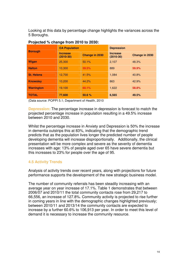Looking at this data by percentage change highlights the variances across the 5 Boroughs.

| <b>Borough</b>    | <b>OA Population</b>           |                | <b>Depression</b>              |                |  |  |
|-------------------|--------------------------------|----------------|--------------------------------|----------------|--|--|
|                   | <b>Increase</b><br>$(2010-30)$ | Change in 2030 | <b>Increase</b><br>$(2010-30)$ | Change in 2030 |  |  |
| Wigan             | 25,300                         | 50.1%          | 2,107                          | 48.3%          |  |  |
| <b>Halton</b>     | 10.300                         | 59.5%          | 889                            | 59.9%          |  |  |
| <b>St. Helens</b> | 12,700                         | 41.5%          | 1,084                          | 40.8%          |  |  |
| <b>Knowsley</b>   | 10.200                         | 44.2%          | 863                            | 42.9%          |  |  |
| <b>Warrington</b> | 19.100                         | 60.1%          | 1,622                          | 58.8%          |  |  |
| <b>TOTAL</b>      | 77,600                         | 50.6 %         | 6,565                          | 49.5%          |  |  |

#### **Projected % change from 2010 to 2030:**

(Data source: POPPI 5.1; Department of Health, 2010

**Depression:** The percentage increase in depression is forecast to match the projected percentage increase in population resulting in a 49.5% increase between 2010 and 2030.

Whilst the percentage increase in Anxiety and Depression is 50% the increase in dementia outstrips this at 83%, indicating that the demographic trend predicts that as the population lives longer the predicted number of people developing dementia will increase disproportionally. Additionally, the clinical presentation will be more complex and severe as the severity of dementia increases with age: 13% of people aged over 65 have severe dementia but this increases to 23% for people over the age of 95.

#### **4.5 Activity Trends**

Analysis of activity trends over recent years, along with projections for future performance supports the development of the new strategic business model.

The number of community referrals has been steadily increasing with an average year on year increase of 17.1%. Table 1 demonstrates that between 2006/07 and 2010/11 the total community contacts rose from 29,217 to 66,556, an increase of 127.8%. Community activity is projected to rise further in coming years in line with the demographic changes highlighted previously; between 2010/11 and 2013/14 the community contacts are expected to increase by a further 60.6% to 106,913 per year. In order to meet this level of demand it is necessary to increase the community resource.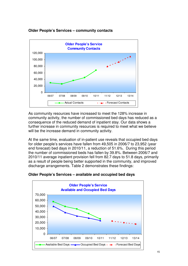



As community resources have increased to meet the 128% increase in community activity, the number of commissioned bed days has reduced as a consequence of the reduced demand of inpatient stay. Our data shows a further increase in community resources is required to meet what we believe will be the increase demand in community activity.

At the same time, evaluation of in-patient use reveals that occupied bed days for older people's services have fallen from 49,505 in 2006/7 to 23,952 (year end forecast) bed days in 2010/11, a reduction of 51.6%. During this period the number of commissioned beds has fallen by 39.8%. Between 2006/7 and 2010/11 average inpatient provision fell from 82.7 days to 51.8 days, primarily as a result of people being better supported in the community, and improved discharge arrangements. Table 2 demonstrates these findings:



**Older People's Services – available and occupied bed days**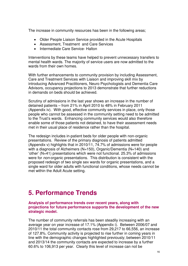The increase in community resources has been in the following areas;

- Older People Liaison Service provided in the Acute Hospitals
- Assessment, Treatment and Care Services
- Intermediate Care Service- Halton

Interventions by these teams have helped to prevent unnecessary transfers to mental health wards. The majority of service users are now admitted to the wards from their own homes.

With further enhancements to community provision by including Assessment, Care and Treatment Services with Liaison and improving skill mix by introducing Advanced Practitioners, Neuro Psychologists and Dementia Care Advisors, occupancy projections to 2013 demonstrate that further reductions in demands on beds should be achieved.

Scrutiny of admissions in the last year shows an increase in the number of detained patients – from 21% in April 2010 to 48% in February 2011 (Appendix iv). With good, effective community services in place, only those people who cannot be assessed in the community setting need to be admitted to the Trust's wards. Enhancing community services would also therefore enable some of those patients not detained, to have their assessment needs met in their usual place of residence rather than the hospital.

The redesign includes in-patient beds for older people with non-organic presentations. Review of the primary diagnosis of patients admitted (Appendix v) highlights that in 2010/11, 74.7% of admissions were for people with a diagnosis of Alzheimers (N=150), Organic/Dementia (N=140) and 'other' (N=41) presentations which were not functional. 25.3% of admissions were for non-organic presentations. This distribution is consistent with the proposed redesign of two single sex wards for organic presentations, and a single ward for older adults with functional conditions, whose needs cannot be met within the Adult Acute setting.

# **5. Performance Trends**

#### **Analysis of performance trends over recent years, along with projections for future performance supports the development of the new strategic model.**

The number of community referrals has been steadily increasing with an average year on year increase of 17.1% (Appendix i). Between 2006/07 and 2010/11 the total community contacts rose from 29,217 to 66,556, an increase of 127.8%. Community activity is projected to rise further in coming years in line with the demographic changes highlighted previously; between 2010/11 and 2013/14 the community contacts are expected to increase by a further 60.6% to 106,913 per year. Clearly this level of increase can not be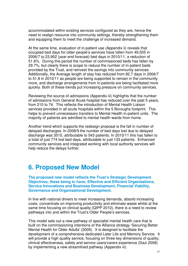accommodated within existing services configured as they are, hence the need to realign resource into community settings, thereby strengthening them and equipping them to meet the challenge of increased demand.

At the same time, evaluation of in-patient use (Appendix ii) reveals that occupied bed days for older people's services have fallen from 49,505 in 2006/7 to 23,952 (year end forecast) bed days in 2010/11, a reduction of 51.6%. During this period the number of commissioned beds has fallen by 29.7%, but clearly there is scope to reduce the number of in-patient beds provided by the Trust, and reinvest the savings into community services. Additionally, the Average length of stay has reduced from 82.7 days in 2006/7 to 51.8 in 2010/11 as people are being supported to remain in the community more, and discharge arrangements from in-patients are being facilitated more quickly. Both of these trends put increasing pressure on community services.

Reviewing the source of admissions (Appendix iii) highlights that the number of admissions from General Acute hospital has reduced over the past 5 years, from 210 to 74. This reflects the introduction of Mental Health Liaison services provided in all acute hospitals within the 5 Boroughs footprint. This helps to prevent unnecessary transfers to Mental Health in-patient units. The majority of patients are admitted to mental health wards from home.

Another trend which supports the redesign proposal is the fall in number of delayed discharges. In 2008/9 the number of bed days lost due to delayed discharge was 3515, attributable to 543 patients. In 2010/11 this has fallen to a total of just 774 lost bed days, attributable to just 133 patients. Enhanced community services and integrated working with local authority services will help reduce the delays further.

## **6. Proposed New Model**

**The proposed new model reflects the Trust's Strategic Development Objectives, these being to have; Effective and Efficient Organisations, Service Innovations and Business Development, Financial Viability, Governance and Organisational Development.** 

In line with national drivers to meet increasing demands, absorb increasing costs, concentrate on improving productivity and eliminate waste whilst at the same time focusing on clinical quality (QIPP 2010), there is a need to review pathways into and within the Trust's Older People's services.

This model sets out a new pathway of specialist mental health care that is built on the commissioning intentions of the Alliance strategy 'Securing Better Mental Health for Older Adults' (2009). It is designed to facilitate the development of a comprehensive dedicated Later Life and Memory Service. It will provide a high quality service, focusing on three key dimensions of quality; clinical effectiveness, safety and service users/carers experience (Dazi 2008) by implementing a new streamlined pathway (Appendix vi).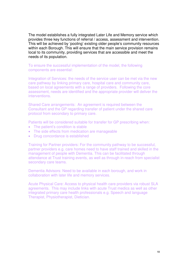The model establishes a fully integrated Later Life and Memory service which provides three key functions of referral / access, assessment and intervention. This will be achieved by 'pooling' existing older people's community resources within each Borough. This will ensure that the main service provision remains local to its community, providing services that are accessible and meet the needs of its population.

To ensure the successful implementation of the model, the following components are essential:

Integration of Services: the needs of the service user can be met via the new care pathway by linking primary care, hospital care and community care, based on local agreements with a range of providers. Following the core assessment, needs are identified and the appropriate provider will deliver the interventions.

Shared Care arrangements: An agreement is required between the Consultant and the GP regarding transfer of patient under the shared care protocol from secondary to primary care.

Patients will be considered suitable for transfer for GP prescribing when:

- The patient's condition is stable
- The side effects from medication are manageable
- Drug concordance is established

Training for Partner providers: For the community pathway to be successful, partner providers e.g. care homes need to have staff trained and skilled in the management of people with Dementia. This can be facilitated through attendance at Trust training events, as well as through in-reach from specialist secondary care teams.

Dementia Advisors: Need to be available in each borough, and work in collaboration with later life and memory services.

Acute Physical Care: Access to physical health care providers via robust SLA agreements. This may include links with acute Trust medics as well as other integrated primary care health professionals e.g. Speech and language Therapist, Physiotherapist, Dietician.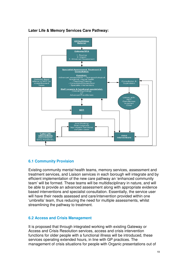

#### **Later Life & Memory Services Care Pathway:**

#### **6.1 Community Provision**

Existing community mental health teams, memory services, assessment and treatment services, and Liaison services in each borough will integrate and by efficient implementation of the new care pathway an 'enhanced community team' will be formed. These teams will be multidisciplinary in nature, and will be able to provide an advanced assessment along with appropriate evidence based interventions and specialist consultation. Essentially, the service user will have their needs assessed and care/intervention provided within one 'umbrella' team, thus reducing the need for multiple assessments, whilst streamlining the pathway to treatment.

#### **6.2 Access and Crisis Management**

It is proposed that through integrated working with existing Gateway or Access and Crisis Resolution services, access and crisis intervention functions for older people with a functional illness will be introduced, these services operating extended hours, in line with GP practices. The management of crisis situations for people with Organic presentations out of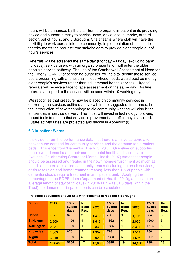hours will be enhanced by the staff from the organic in-patient units providing advice and support directly to service users, or via local authority, or third sector, out of hours, and 5 Boroughs Crisis teams where staff will have the flexibility to work across into the community. Implementation of this model thereby meets the request from stakeholders to provide older people out of hour's services.

Referrals will be screened the same day (Monday – Friday, excluding bank holidays); service users with an organic presentation will enter the older people's service pathway. The use of the Camberwell Assessment of Need for the Elderly (CANE) for screening purposes, will help to identify those service users presenting with a functional illness whose needs would best be met by older people's services rather than adult mental health services. 'Urgent' referrals will receive a face to face assessment on the same day. Routine referrals accepted to the service will be seen within 10 working days.

We recognise that pressure may be placed on community services in delivering the services outlined above within the suggested timeframes, but the introduction of new technology to aid community working will also bring efficiencies in service delivery. The Trust will invest in technology following robust trials to ensure that service improvement and efficiency is assured. Future activity rates are projected and shown in Appendix (i).

#### **6.3 In-patient Wards**

It is evident from the performance data that there is an inverse correlation between the demand for community services and the demand for in-patient beds. Evidence from 'Dementia: The NICE-SCIE Guideline on supporting people with dementia and their carer's mental health and social care' (National Collaborating Centre for Mental Health, 2007) states that people should be assessed and treated in their own home/environment as much as possible. If there are skilled community teams (including outreach services, crisis resolution and home treatment teams), less than 1% of people with dementia should require treatment in an inpatient unit. Applying this percentage to the POPPI data (Department of Health, 2010), and using an average length of stay of 52 days (in 2010-11 it was 51.8 days within the Trust) the demand for in-patient beds can be calculated.

| <b>Borough</b>    | 2015   | $1\% X$<br>52 bed<br>days | No.<br><b>Beds</b><br>Req. | 2020   | $1\% X$<br>52 bed<br>days | No.<br><b>Beds</b><br>Req. | 2025   | $1\% X$<br>52 bed<br>days | No.<br><b>Beds</b><br>Req. |
|-------------------|--------|---------------------------|----------------------------|--------|---------------------------|----------------------------|--------|---------------------------|----------------------------|
| <b>Halton</b>     | 1,291  | 676                       | $\overline{2}$             | 1,472  | 780                       | 3                          | 1,705  | 884                       | -3                         |
| <b>St Helens</b>  | 2,309  | 1196                      | $\overline{4}$             | 2,613  | 1352                      | $\overline{4}$             | 2,936  | 1560                      | 5                          |
| <b>Warrington</b> | 2,487  | 1300                      | $\overline{4}$             | 2,832  | 1456                      | $\overline{4}$             | 3,317  | 1716                      | 5                          |
| <b>Knowsley</b>   | 1,309  | 676                       | 2                          | 1,397  | 728                       | 2                          | 1,514  | 780                       | -3                         |
| Wigan             | 3,449  | 1820                      | $5\phantom{.}$             | 4,022  | 2080                      | 6                          | 4,696  | 2444                      | 7                          |
| <b>Total</b>      | 10,845 | 5668                      | 17                         | 12,336 | 6396                      | 19                         | 14,168 | 7384                      | 23                         |

#### **Projected population of over 65's with dementia across the 5 Boroughs:**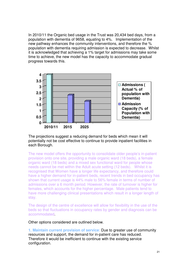In 2010/11 the Organic bed usage in the Trust was 20,434 bed days, from a population with dementia of 9658, equating to 4%. Implementation of the new pathway enhances the community interventions, and therefore the % population with dementia requiring admission is expected to decrease. Whilst it is acknowledged that achieving a 1% target for admissions may take some time to achieve, the new model has the capacity to accommodate gradual progress towards this.



The projections suggest a reducing demand for beds which mean it will potentially not be cost effective to continue to provide inpatient facilities in each Borough.

The new model offers the opportunity to consolidate older people's in-patient provision onto one site, providing a male organic ward (18 beds), a female organic ward (18 beds) and a mixed sex functional ward for people whose needs cannot be met within the Adult acute setting (12 beds). Whilst it is recognised that Women have a longer life expectancy, and therefore could have a higher demand for in-patient beds, recent trends in bed occupancy has shown that current usage is 44% male to 56% female in terms of number of admissions over a 6 month period. However, the rate of turnover is higher for females, which accounts for the higher percentage. Male patients tend to have more challenging clinical presentations which result in a longer length of stay.

The design of the centre of excellence will allow for flexibility in the use of the beds so that fluctuations in occupancy rates by gender and diagnosis can be accommodated.

Other options considered are outlined below.

**1. Maintain current provision of service**: Due to greater use of community resources and support, the demand for in-patient care has reduced. Therefore it would be inefficient to continue with the existing service configuration.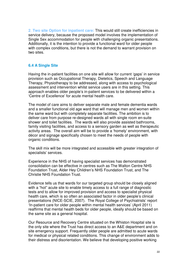**2**. **Two site Option for inpatient care:** This would still create inefficiencies in service delivery, because the proposed model involves the implementation of Single Sex accommodation for people with challenging organic presentations. Additionally, it is the intention to provide a functional ward for older people with complex conditions, but there is not the demand to warrant provision on two sites.

#### **6.4 A Single Site**

Having the in-patient facilities on one site will allow for current 'gaps' in service provision such as Occupational Therapy, Dietetics, Speech and Language Therapy, Physiotherapy to be addressed, along with access to psychological assessment and intervention whilst service users are in this setting. This approach enables older people's in-patient services to be delivered within a 'Centre of Excellence' for acute mental health care.

The model of care aims to deliver separate male and female dementia wards and a smaller functional old age ward that will manage men and women within the same ward but with completely separate facilities. The ambition is to deliver care from purpose re-designed wards all with single room en-suite shower and toilet facilities. The wards will also provide assisted bathrooms, family visiting facilities, and access to a sensory garden as well as therapeutic activity areas. The overall aim will be to provide a 'homely' environment, with décor and signage specifically chosen to meet the needs of people with organic conditions.

The skill mix will be more integrated and accessible with greater integration of specialists' services.

Experience in the NHS of having specialist services has demonstrated consolidation can be effective in centres such as The Walton Centre NHS Foundation Trust, Alder Hey Children's NHS Foundation Trust, and The Christie NHS Foundation Trust.

Evidence tells us that wards for our targeted group should be closely aligned with a "hot" acute site to enable timely access to a full range of diagnostic tests and to allow for improved provision and access to specialist physical health care, which is so often an associated factor in older people's clinical presentations (NICE-SCIE, 2007). The Royal College of Psychiatrists' report 'In-patient care for older people within mental health services' (April 2011) reaffirms that mental health beds for older people, ideally should be based on the same site as a general hospital.

Our Resource and Recovery Centre situated on the Whiston Hospital site is the only site where the Trust has direct access to an A&E department and on site emergency support. Frequently older people are admitted to acute wards for medical or physical related conditions. This change of environment adds to their distress and disorientation. We believe that developing positive working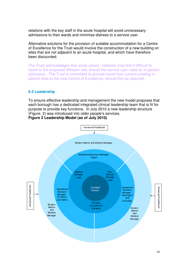relations with the key staff in the acute hospital will avoid unnecessary admissions to their wards and minimise distress to a service user.

Alternative solutions for the provision of suitable accommodation for a Centre of Excellence for the Trust would involve the construction of a new building on sites that are not adjacent to an acute hospital, and which have therefore been discounted.

The Trust acknowledges that some carers / relatives may find it difficult to travel to the proposed Whiston site, should the service user need an in-patient admission. The Trust is committed to provide travel from current existing inpatient sites to the new Centre of Excellence, should this be required.

#### **6.5 Leadership**

To ensure effective leadership and management the new model proposes that each borough has a dedicated integrated clinical leadership team that is fit for purpose to provide key functions. In July 2010 a new leadership structure (Figure. 2) was introduced into older people's services. **Figure 2 Leadership Model (as of July 2010)** 



23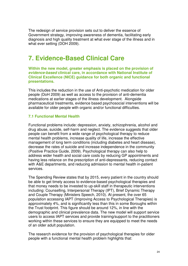The redesign of service provision sets out to deliver the essence of Government strategy, improving awareness of dementia, facilitating early diagnosis and high quality treatment at what ever stage of the illness and in what ever setting (DOH 2009).

## **7. Evidence-Based Clinical Care**

**Within the new model, greater emphasis is placed on the provision of evidence-based clinical care, in accordance with National Institute of Clinical Excellence (NICE) guidance for both organic and functional presentations.** 

This includes the reduction in the use of Anti-psychotic medication for older people (DoH 2009) as well as access to the provision of anti-dementia medications at earlier stages of the illness development. Alongside pharmaceutical treatments, evidence based psychosocial interventions will be available for older people with organic and/or functional difficulties.

#### **7.1 Functional Mental Health**

Functional problems include: depression, anxiety, schizophrenia, alcohol and drug abuse, suicide, self-harm and neglect. The evidence suggests that older people can benefit from a wide range of psychological therapy to reduce mental health problems, increase quality of life, increase the effective management of long term conditions (including diabetes and heart disease), decrease the rates of suicide and increase independence in the community (Positive Practice Guide, 2009). Psychological therapy can also help to address wider health and social care costs by reducing GP appointments and having less reliance on the prescription of anti-depressants, reducing contact with A&E departments, and reducing admission to mental health in-patient services.

The Spending Review states that by 2015, every patient in the country should be able to get timely access to evidence-based psychological therapies and that money needs to be invested to up-skill staff in therapeutic interventions including: Counselling, Interpersonal Therapy (IPT), Brief Dynamic Therapy and Couple Therapy (Ministers Speech, 2010). At present, the over 65 population accessing IAPT (Improving Access to Psychological Therapies) is approximately 4%, and is significantly less than this in some Boroughs within the Trust footprint. This figure should be around 12%, in line with the demographic and clinical prevalence data. The new model will support service users to access IAPT services and provide training/support to the practitioners working within these services to ensure they are equipped to meet the needs of an older adult population.

The research evidence for the provision of psychological therapies for older people with a functional mental health problem highlights that: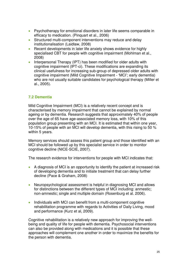- Psychotherapy for emotional disorders in later life seems comparable in efficacy to medication. (Pinquart et al., 2006)
- Structured multi-component interventions may reduce and delay institutionalisation (Laidlaw, 2008)
- Recent developments in later life anxiety shows evidence for highly specialised CBT for people with cognitive impairment (Mohlman et al., 2008)
- Interpersonal Therapy (IPT) has been modified for older adults with cognitive impairment (IPT-ci). These modifications are expanding its clinical usefulness for increasing sub-group of depressed older adults with cognitive impairment (Mild Cognitive Impairment - 'MCI'; early dementia) who are not usually suitable candidates for psychological therapy (Miller et al., 2005).

#### **7.2 Dementia**

Mild Cognitive Impairment (MCI) is a relatively recent concept and is characterised by memory impairment that cannot be explained by normal ageing or by dementia. Research suggests that approximately 40% of people over the age of 65 have age-associated memory loss, with 10% of this population group presenting with an MCI. It is estimated that within one year, 10-15% of people with an MCI will develop dementia, with this rising to 50 % within 5 years.

Memory services should assess this patient group and those identified with an MCI should be followed up by this specialist service in order to monitor cognitive decline (NICE-SCIE, 2007).

The research evidence for interventions for people with MCI indicates that:

- A diagnosis of MCI is an opportunity to identify the patient at increased risk of developing dementia and to initiate treatment that can delay further decline (Pace & Graham, 2008)
- Neuropsychological assessment is helpful in diagnosing MCI and allows for distinctions between the different types of MCI including: anmestic; non-amnestic; single and multiple domain (Rosenburg et al. 2006).
- Individuals with MCI can benefit from a multi-component cognitive rehabilitation programme with regards to Activities of Daily Living, mood and performance (Kurz et al, 2009).

Cognitive rehabilitation is a relatively new approach for improving the wellbeing and quality of life for people with dementia. Psychosocial interventions can also be provided along with medications and it is possible that these approaches will complement one another in order to maximize the benefits for the person with dementia.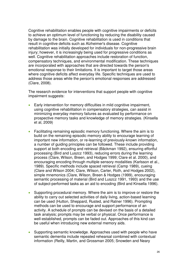Cognitive rehabilitation enables people with cognitive impairments or deficits to achieve an optimum level of functioning by reducing the disability caused by damage to the brain. Cognitive rehabilitation is used in conditions that result in cognitive deficits such as Alzheimer's disease. Cognitive rehabilitation was initially developed for individuals for non-progressive brain injury; however, it is increasingly being used for progressive conditions as well. Cognitive rehabilitation approaches include restoration of function, compensatory techniques, and environmental modification. These techniques are incorporated with approaches that are directed towards the person's emotional response to their limitations. It is important to target those areas where cognitive deficits affect everyday life. Specific techniques are used to address those areas while the person's emotional responses are addressed (Clare, 2008).

The research evidence for interventions that support people with cognitive impairment suggests:

- Early intervention for memory difficulties in mild cognitive impairment, using cognitive rehabilitation in compensatory strategies, can assist in minimizing everyday memory failures as evaluated by performance on prospective memory tasks and knowledge of memory strategies. (Kinsella et al, 2009)
- Facilitating remaining episodic memory functioning. Where the aim is to build on the remaining episodic memory ability to encourage learning of important new information, or re-learning of previously-known information, a number of guiding principles can be followed. These include providing support at both encoding and retrieval (Bäckman 1992), ensuring effortful processing (Bird and Luszcz 1993), reducing errors during the learning process (Clare, Wilson, Breen, and Hodges 1999; Clare et al. 2000), and encouraging encoding through multiple sensory modalities (Karlsson et al., 1989). Specific methods include spaced retrieval (Camp 1989), cueing (Clare and Wilson 2004; Clare, Wilson, Carter, Roth, and Hodges 2002), simple mnemonics (Clare, Wilson, Breen & Hodges (1999), encouraging semantic processing of material (Bird and Luszcz 1991, 1993) and the use of subject-performed tasks as an aid to encoding (Bird and Kinsella 1996).
- Supporting procedural memory. Where the aim is to improve or restore the ability to carry out selected activities of daily living, action-based learning can be used (Hutton, Sheppard, Rusted, and Ratner 1996). Prompting methods can be used to encourage and support performance of an activity. A schedule of prompts can be devised on the basis of a detailed task analysis; prompts may be verbal or physical. Once performance is well-established, prompts can be faded out. Approaches of this kind can be useful when introducing new external memory aids.
- Supporting semantic knowledge. Approaches used with people who have semantic dementia include repeated rehearsal combined with contextual information (Reilly, Martin, and Grossman 2005; Snowden and Neary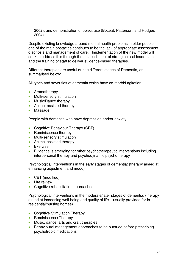2002), and demonstration of object use (Bozeat, Patterson, and Hodges 2004).

Despite existing knowledge around mental health problems in older people, one of the main obstacles continues to be the lack of appropriate assessment, diagnosis and management of care. Implementation of the new model will seek to address this through the establishment of strong clinical leadership and the training of staff to deliver evidence-based therapies.

Different therapies are useful during different stages of Dementia, as summarised below:

All types and severities of dementia which have co-morbid agitation:

- Aromatherapy
- Multi-sensory stimulation
- Music/Dance therapy
- Animal-assisted therapy
- Massage

People with dementia who have depression and/or anxiety:

- Cognitive Behaviour Therapy (CBT)
- Reminiscence therapy
- Multi-sensory stimulation
- Animal assisted therapy
- Exercise
- Evidence is emerging for other psychotherapeutic interventions including interpersonal therapy and psychodynamic psychotherapy

Psychological interventions in the early stages of dementia: (therapy aimed at enhancing adjustment and mood)

- CBT (modified)
- Life review
- Cognitive rehabilitation approaches

Psychological interventions in the moderate/later stages of dementia: (therapy aimed at increasing well-being and quality of life – usually provided for in residential/nursing homes)

- Cognitive Stimulation Therapy
- Reminiscence Therapy
- Music, dance, arts and craft therapies
- Behavioural management approaches to be pursued before prescribing psychotropic medications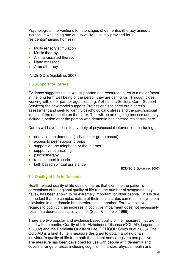Psychological interventions for late stages of dementia: (therapy aimed at increasing well-being and quality of life – usually provided for in residential/nursing homes)

- Multi-sensory stimulation
- Music therapy
- Animal-assisted therapy
- Hand massage
- Aromatherapy

(NICE-SCIE Guideline, 2007)

#### **7.3 Support for Carers**

Evidence suggests that a well supported and resourced carer is a major factor in the long term well being of the person they are caring for. Through close working with other partner agencies (e.g. Alzheimers Society, Carer Support Services) the new model supports Professionals to carry out a carer's assessment and seek to identify psychological distress and the psychosocial impact of the dementia on the carer. This will be an ongoing process and may include a period after the person with dementia has entered residential care.

Carers will have access to a variety of psychosocial interventions including:

- education on dementia (individual or group based)
- access to peer support groups
- support via the telephone or the internet
- supportive counselling
- psychotherapy
- rapid support in crisis
- faith based spiritual assistance

(NICE-SCIE Guideline, 2007)

#### **7.4 Quality of Life in Dementia**

Health related quality of life questionnaires that examine the patient's perceptions of their global quality of life (not the number of symptoms they have), has been shown to be extremely important for older people. This is due to the fact that the complex nature of their health status can result in symptom alleviation in one domain but deterioration in another. For example, with regards to cognition, an increase in cognitive impairment does not necessarily result in a decrease in quality of life. (Selai & Trimble, 1999).

There are two popular and evidence based quality of life measures that are used with dementia; Quality of Life-Alzheimer's Disease (QOL-AD; Logsdon et al 2002) and the Dementia Quality of Life (DEMQOL; Smith et al, 2005). The QOL-AD is a brief 13 item measure designed to obtain a rating of an individual's quality of life from both the patient and caregivers perspective. The measure has been developed for use with people with dementia and covers a range of areas including cognition, finances, physical health and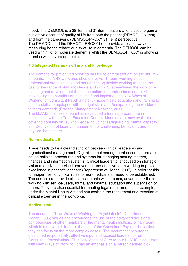mood. The DEMQOL is a 28 item and 31 item measure and is used to gain a subjective account of quality of life from both the patient (DEMQOL 28 item) and from the caregiver's (DEMQOL-PROXY 31 item) perspective. The DEMQOL and the DEMQOL-PROXY both provide a reliable way of measuring health related quality of life in dementia. The DEMQOL can be used with mild to moderate dementia whilst the DEMQOL-PROXY is showing promise with severe dementia.

#### **7.5 Integrated teams - skill mix and knowledge**

The demand for patient-led services has led to careful thought on the skill mix of teams. The NHS workforce should involve: 1) team working across professional organisations and boundaries, 2) flexible working to make the best of the range of staff knowledge and skills, 3) streamlining the workforce planning and development (based on patient not professional need), 4) maximising the contribution of all staff and implementing New Ways of Working for Consultant Psychiatrists, 5) modernising education and training to ensure staff are equipped with the right skills and 6) expanding the workforce to meet demands (Practice Management Network, 2011). The LLAMS business stream has developed a training programme in conjunction with the Trust Education Centre. Modules are now available covering core key skills / knowledge including: safeguarding, mental capacity act, Deprivation of Liberty, management of challenging behaviour, and physical health care.

#### **Non-medical staff**

There needs to be a clear distinction between clinical leadership and organisational management. Organisational management ensures there are sound policies, procedures and systems for managing staffing matters, finances and information systems. Clinical leadership is focused on strategic vision and driving service improvement and effective team working to provide excellence in patient/client care (Department of Health, 2007). In order for this to happen, senior clinical roles for non-medical staff need to be established. These roles can provide clinical leadership within teams, advanced skills in working with service-users, formal and informal education and supervision of others. They are also essential for meeting legal requirements, for example, under the Mental Health Act and can assist in the recruitment and retention of clinical expertise in the workforce.

#### **Medical staff**

The document "New Ways of Working for Psychiatrists" (Department of Health, 2005) values and encourages the use of the advanced skills and competencies of other members of the mental health multidisciplinary team, which in turn, would "free up" the time of the Consultant Psychiatrist so that they can focus on the more complex cases. The document encourages distributed responsibility, effective input and focused leadership from Consultant Psychiatrists. This new Model of Care for our LLAMS is consistent with New Ways of Working. It has an emphasis on a person-centred bio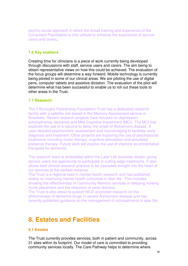psycho-social approach in which the broad training and experience of the Consultant Psychiatrist is fully utilised to enhance the experience of service users and carers.

#### **7.6 Key enablers**

Creating time for clinicians is a piece of work currently being developed through discussions with staff, service users and carers. The aim being to obtain representative views on how this could be achieved. The evaluation of the focus groups will determine a way forward. Mobile technology is currently being piloted in some of our clinical areas. We are piloting the use of digital pens, computer tablets and assistive dictation. The evaluation of the pilot will determine what has been successful to enable us to roll out these tools to other areas in the Trust.

#### **7.7 Research**

The 5 Boroughs Partnership Foundation Trust has a dedicated research facility with a satellite site based in the Memory Assessment service in Knowsley. Recent research projects have focused on depression, schizophrenia, dementia and Mild Cognitive Impairment (MCI). The MCI trial explores the use of a vaccine to delay the onset of Alzheimers disease. It uses detailed psychometric assessment and neuroimaging to facilitate early diagnosis and treatment. Other projects are exploring the use of psychosocial treatments including music therapy, cognitive stimulation and simulated presence therapy. Future work will explore the use of vitamins as preventative therapies for dementia.

The research team is embedded within the Later Life business stream giving service users the opportunity to participate in cutting edge treatments. It also allows best clinical research practice to be cascaded straight into the heart of our services at the earliest instance.

The Trust is a regional lead in mental health research and has published widely on improving mental health outcomes in later life. This includes showing the effectiveness of Community Memory services in delaying nursing home placement and the reduction of carer distress.

The Trust is also about to publish NICE promoted research on the effectiveness of dementia drugs in severe Alzheimers disease and has recently published guidance on the management of schizophrenia in later life.

## **8. Estates and Facilities**

#### **8.1 Estates**

The Trust currently provides services, both in patient and community, across 31 sites within its footprint. Our model of care is committed to providing community services locally. The Care Pathway helps to determine where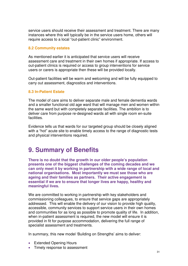service users should receive their assessment and treatment. There are many instances where this will typically be in the service users home, others will require access to a local "out-patient clinic" environment.

#### **8.2 Community estates**

As mentioned earlier it is anticipated that service users will receive assessment care and treatment in their own homes if appropriate. If access to out-patient clinics is required or access to group interventions for service users or carers is appropriate then these will be provided locally.

Out-patient facilities will be warm and welcoming and will be fully equipped to carry out assessment, diagnostics and interventions.

#### **8.3 In-Patient Estate**

The model of care aims to deliver separate male and female dementia wards and a smaller functional old age ward that will manage men and women within the same ward but with completely separate facilities. The ambition is to deliver care from purpose re-designed wards all with single room en-suite facilities.

Evidence tells us that wards for our targeted group should be closely aligned with a "hot" acute site to enable timely access to the range of diagnostic tests and physical interventions required.

## **9. Summary of Benefits**

**There is no doubt that the growth in our older people's population presents one of the biggest challenges of the coming decades and we can only meet it by working in partnership with a wide range of local and national organisations. Most importantly we must see those who are ageing and their families as partners. Their active engagement is essential if we are to ensure that longer lives are happy, healthy and meaningful lives.** 

We are committed to working in partnership with key stakeholders and commissioning colleagues, to ensure that service gaps are appropriately addressed. This will enable the delivery of our vision to provide high quality, accessible, community services to support service users in their own homes and communities for as long as possible to promote quality of life. In addition, when in-patient assessment is required, the new model will ensure it is provided in fit for purpose accommodation, delivering the full range of specialist assessment and treatments.

In summary, this new model 'Building on Strengths' aims to deliver:

- Extended Opening Hours
- Timely response to assessment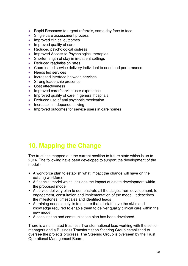- Rapid Response to urgent referrals, same day face to face
- Single care assessment process
- Improved clinical outcomes
- Improved quality of care
- Reduced psychological distress
- Improved Access to Psychological therapies
- Shorter length of stay in in-patient settings
- Reduced readmission rates
- Coordinated service delivery individual to need and performance
- Needs led services
- Increased interface between services
- Strong leadership presence
- Cost effectiveness
- Improved carer/service user experience
- Improved quality of care in general hospitals
- Reduced use of anti psychotic medication
- Increase in independent living
- Improved outcomes for service users in care homes

# **10. Mapping the Change**

The trust has mapped out the current position to future state which is up to 2014. The following have been developed to support the development of the model -

- A workforce plan to establish what impact the change will have on the existing workforce
- A financial model which includes the impact of estate development within the proposed model
- A service delivery plan to demonstrate all the stages from development, to engagement, consultation and implementation of the model. It describes the milestones, timescales and identified leads
- A training needs analysis to ensure that all staff have the skills and knowledge required to enable them to deliver quality clinical care within the new model
- A consultation and communication plan has been developed.

There is a nominated Business Transformational lead working with the senior managers and a Business Transformation Steering Group established to oversee the projects progress. The Steering Group is overseen by the Trust Operational Management Board.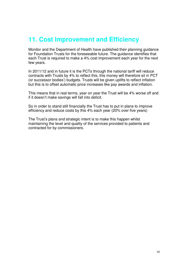# **11. Cost Improvement and Efficiency**

Monitor and the Department of Health have published their planning guidance for Foundation Trusts for the foreseeable future. The guidance identifies that each Trust is required to make a 4% cost improvement each year for the next few years.

In 2011/12 and in future it is the PCTs through the national tariff will reduce contracts with Trusts by 4% to reflect this, this money will therefore sit in PCT (or successor bodies') budgets. Trusts will be given uplifts to reflect inflation but this is to offset automatic price increases like pay awards and inflation.

This means that in real terms, year on year the Trust will be 4% worse off and if it doesn't make savings will fall into deficit.

So in order to stand still financially the Trust has to put in plans to improve efficiency and reduce costs by this 4% each year (20% over five years)

The Trust's plans and strategic intent is to make this happen whilst maintaining the level and quality of the services provided to patients and contracted for by commissioners.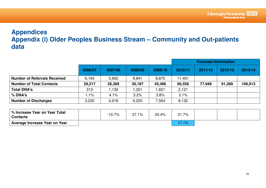## **Appendices Appendix (i) Older Peoples Business Stream – Community and Out-patients data**

|                                     |         |         |         |         |         | <b>Forecast Information</b> |         |         |  |
|-------------------------------------|---------|---------|---------|---------|---------|-----------------------------|---------|---------|--|
|                                     | 2006/07 | 2007/08 | 2008/09 | 2009/10 | 2010/11 | 2011/12                     | 2012/13 | 2013/14 |  |
| <b>Number of Referrals Received</b> | 6.154   | 5,902   | 8,841   | 8,870   | 11,401  |                             |         |         |  |
| <b>Number of Total Contacts</b>     | 29,217  | 26,389  | 36,187  | 45,486  | 66,556  | 77,948                      | 91,289  | 106,913 |  |
| <b>Total DNA's</b>                  | 313     | 1,130   | 1,201   | 1,821   | 2,121   |                             |         |         |  |
| $%$ DNA's                           | $1.1\%$ | 4.1%    | 3.2%    | 3.8%    | 3.1%    |                             |         |         |  |
| <b>Number of Discharges</b>         | 3,220   | 4,918   | 6,220   | 7,564   | 8,132   |                             |         |         |  |

| │% Increase Year on Year Total<br><b>Contacts</b> | $-10.7%$ | $27.1\%$ | 20.4% | 31.7% |  |  |
|---------------------------------------------------|----------|----------|-------|-------|--|--|
| Average Increase Year on Year                     |          |          |       | 7o    |  |  |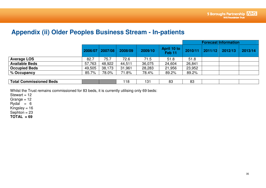## **Appendix (ii) Older Peoples Business Stream - In-patients**

|                              |        |                 |         |         |                                  |         |         | <b>Forecast Information</b> |         |
|------------------------------|--------|-----------------|---------|---------|----------------------------------|---------|---------|-----------------------------|---------|
|                              |        | 2006/07 2007/08 | 2008/09 | 2009/10 | April 10 to<br>Feb <sub>11</sub> | 2010/11 | 2011/12 | 2012/13                     | 2013/14 |
| <b>Average LOS</b>           | 82.7   | 75.7            | 72.6    | 71.5    | 51.8                             | 51.8    |         |                             |         |
| <b>Available Beds</b>        | 57,763 | 48,922          | 44,511  | 36,075  | 24,604                           | 26,841  |         |                             |         |
| <b>Occupied Beds</b>         | 49,505 | 38,173          | 31,961  | 28,283  | 21,956                           | 23,952  |         |                             |         |
| $\frac{1}{2}$ $\%$ Occupancy | 85.7%  | 78.0%           | 71.8%   | 78.4%   | 89.2%                            | 89.2%   |         |                             |         |
|                              |        |                 |         |         |                                  |         |         |                             |         |

| -<br><b>Beds</b><br>Γotal<br>.   : :<br>. .<br>. |  | . . | n, | n,<br>. |  |  |
|--------------------------------------------------|--|-----|----|---------|--|--|

Whilst the Trust remains commissioned for 83 beds, it is currently utilising only 69 beds:

Stewart =  $12$ 

Grange = 12

Rydal = 6

Kingsley = 16

Sephton = 23

**TOTAL = 69**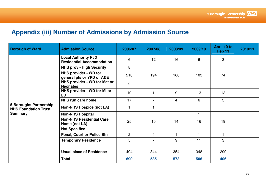# **Appendix (iii) Number of Admissions by Admission Source**

| <b>Borough of Ward</b>                                                         | <b>Admission Source</b>                                         | 2006/07        | 2007/08        | 2008/09        | 2009/10 | April 10 to<br>Feb <sub>11</sub> | 2010/11 |
|--------------------------------------------------------------------------------|-----------------------------------------------------------------|----------------|----------------|----------------|---------|----------------------------------|---------|
| <b>5 Boroughs Partnership</b><br><b>NHS Foundation Trust</b><br><b>Summary</b> | <b>Local Authority Pt 3</b><br><b>Residential Accommodation</b> | 6              | 12             | 16             | 6       | 3                                |         |
|                                                                                | <b>NHS prov - High Security</b>                                 | 8              |                |                |         |                                  |         |
|                                                                                | NHS provider - WD for<br>general pts or YPD or A&E              | 210            | 194            | 166            | 103     | 74                               |         |
|                                                                                | NHS provider - WD for Mat or<br><b>Neonates</b>                 | $\overline{2}$ |                |                |         |                                  |         |
|                                                                                | NHS provider - WD for MI or<br>LD                               | 10             |                | 9              | 13      | 13                               |         |
|                                                                                | <b>NHS run care home</b>                                        | 17             | $\overline{7}$ | $\overline{4}$ | 6       | 3                                |         |
|                                                                                | <b>Non-NHS Hospice (not LA)</b>                                 | 1              |                |                |         |                                  |         |
|                                                                                | <b>Non-NHS Hospital</b>                                         |                |                |                | 1       |                                  |         |
|                                                                                | <b>Non-NHS Residential Care</b><br>Home (not LA)                | 25             | 15             | 14             | 16      | 19                               |         |
|                                                                                | <b>Not Specified</b>                                            |                |                |                | 1       |                                  |         |
|                                                                                | <b>Penal, Court or Police Stn</b>                               | $\overline{2}$ | $\overline{4}$ |                | 1       |                                  |         |
|                                                                                | <b>Temporary Residence</b>                                      | 5              | $\overline{7}$ | 9              | 11      | 3                                |         |
|                                                                                |                                                                 |                |                |                |         |                                  |         |
|                                                                                | <b>Usual place of Residence</b>                                 | 404            | 344            | 354            | 348     | 290                              |         |
|                                                                                | <b>Total</b>                                                    | 690            | 585            | 573            | 506     | 406                              |         |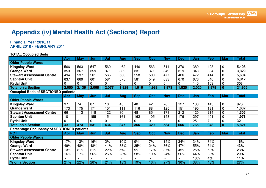# **Appendix (iv) Mental Health Act (Sections) Report**

#### **Financial Year 2010/11 APRIL 2010 - FEBRUARY 2011**

#### **TOTAL Occupied Beds**

|                                                   | Apr   | Mav        | Jun   | Jul            | <b>Aug</b>               | <b>Sep</b>               | Oct         | <b>Nov</b> | <b>Dec</b>     | Jan        | Feb   | <b>Mar</b>     | Total        |
|---------------------------------------------------|-------|------------|-------|----------------|--------------------------|--------------------------|-------------|------------|----------------|------------|-------|----------------|--------------|
| <b>Older People Wards</b>                         |       |            |       |                |                          |                          |             |            |                |            |       |                |              |
| <b>Kingsley Ward</b>                              | 566   | 563        | 547   | 560            | 462                      | 446                      | 563         | 514        | 370            | 389        | 428   | $\mathbf 0$    | 5,408        |
| <b>Grange Ward</b>                                | 353   | 367        | 359   | 371            | 332                      | 331                      | 371         | 349        | 319            | 343        | 334   | $\mathbf 0$    | 3,829        |
| <b>Stewart Assessment Centre</b>                  | 494   | 537        | 561   | 565            | 560                      | 558                      | 500         | 477        | 466            | 472        | 414   | $\mathbf 0$    | 5,604        |
| <b>Sephton Unit</b>                               | 637   | 669        | 601   | 581            | 575                      | 581                      | 549         | 633        | 670            | 676        | 640   | $\mathbf 0$    | 6,812        |
| <b>Rydal Unit</b>                                 | 0     | $\Omega$   | 0     | 0              | $\overline{0}$           | 0                        | $\mathbf 0$ | 0          | 0              | 140        | 163   | $\mathbf 0$    | 303          |
| <b>Total on a Section</b>                         | 2,050 | 2,136      | 2,068 | 2,077          | ,929                     | 1,916                    | 1,983       | 1,973      | 1,825          | 2,020      | 1,979 | $\bf{0}$       | 21,956       |
| <b>Occupied Beds of SECTIONED patients</b>        |       |            |       |                |                          |                          |             |            |                |            |       |                |              |
|                                                   | Apr   | <b>May</b> | Jun   | Jul            | <b>Aug</b>               | <b>Sep</b>               | Oct         | <b>Nov</b> | <b>Dec</b>     | Jan        | Feb   | <b>Mar</b>     | <b>Total</b> |
| <b>Older People Wards</b>                         |       |            |       |                |                          |                          |             |            |                |            |       |                |              |
| <b>Kingsley Ward</b>                              | 97    | 74         | 87    | 10             | 45                       | 40                       | 42          | 78         | 127            | 133        | 145   | $\mathbf 0$    | 878          |
| <b>Grange Ward</b>                                | 173   | 175        | 171   | 151            | 111                      | 116                      | 88          | 125        | 151            | 190        | 181   | $\mathbf 0$    | 1,632        |
| <b>Stewart Assessment Centre</b>                  | 66    | 113        | 118   | 122            | 30                       | 48                       | 85          | 178        | 212            | 120        | 214   | $\mathbf 0$    | ,306         |
| <b>Sephton Unit</b>                               | 101   | 111        | 155   | 151            | 161                      | 162                      | 105         | 153        | 176            | 297        | 401   | $\overline{0}$ | 1,973        |
| <b>Rydal Unit</b>                                 | 0     | 0          | 0     | 0              | 0                        | 0                        | $\mathbf 0$ | 0          | 0              | 25         | 7     | $\mathbf 0$    | 32           |
| <b>Total on a Section</b>                         | 437   | 473        | 531   | 434            | 347                      | 366                      | 320         | 534        | 666            | 765        | 948   | $\bf{0}$       | 5,821        |
| <b>Percentage Occupancy of SECTIONED patients</b> |       |            |       |                |                          |                          |             |            |                |            |       |                |              |
| <b>PCT</b>                                        | Apr   | May        | Jun   | Jul            | Aug                      | <b>Sep</b>               | Oct         | <b>Nov</b> | <b>Dec</b>     | <b>Jan</b> | Feb   | Mar            | Total        |
| <b>Older People Wards</b>                         |       |            |       |                |                          |                          |             |            |                |            |       |                |              |
| <b>Kingsley Ward</b>                              | 17%   | 13%        | 16%   | 2%             | 10%                      | 9%                       | 7%          | 15%        | 34%            | 34%        | 34%   |                | 16%          |
| <b>Grange Ward</b>                                | 49%   | 48%        | 48%   | 41%            | 33%                      | 35%                      | 24%         | 36%        | 47%            | 55%        | 54%   |                | 43%          |
| <b>Stewart Assessment Centre</b>                  | 13%   | 21%        | 21%   | 22%            | 5%                       | 9%                       | 17%         | 37%        | 45%            | 25%        | 52%   |                | 23%          |
| <b>Sephton Unit</b>                               | 16%   | 17%        | 26%   | 26%            | 28%                      | 28%                      | 19%         | 24%        | 26%            | 44%        | 63%   |                | 29%          |
| <b>Rydal Unit</b>                                 |       |            |       | $\blacksquare$ | $\overline{\phantom{a}}$ | $\overline{\phantom{0}}$ |             |            | $\blacksquare$ | 18%        | 4%    |                | 11%          |
| % on a Section                                    | 21%   | 22%        | 26%   | 21%            | 18%                      | 19%                      | 16%         | 27%        | 36%            | 38%        | 48%   |                | 27%          |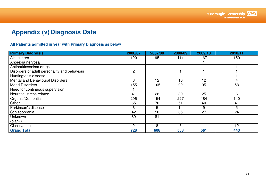# **Appendix (v) Diagnosis Data**

#### **All Patients admitted in year with Primary Diagnosis as below**

| <b>Primary Diagnosis</b>                     | 2006/07        | 2007/08 | 2008/09 | 2009/10 | 2010/11 |
|----------------------------------------------|----------------|---------|---------|---------|---------|
| <b>Alzheimers</b>                            | 120            | 95      | 111     | 167     | 150     |
| Anorexia nervosa                             |                |         |         |         |         |
| Antiparkinsonism drugs                       |                |         |         |         |         |
| Disorders of adult personality and behaviour | $\overline{2}$ |         |         |         |         |
| Huntington's disease                         |                |         |         |         |         |
| Mental and Behavioural Disorders             | 8              | 12      | 10      | 12      | 4       |
| <b>Mood Disorders</b>                        | 155            | 105     | 92      | 95      | 58      |
| Need for continuous supervision              |                |         |         |         |         |
| Neurotic, stress related                     | 41             | 28      | 39      | 25      | 6       |
| Organic/Dementia                             | 206            | 154     | 227     | 184     | 140     |
| Other                                        | 65             | 70      | 51      | 40      | 41      |
| Parkinson's disease                          | 6              | 5       | 14      | 9       | 5       |
| Schizophrenia                                | 42             | 50      | 35      | 27      | 24      |
| Unknown                                      | 80             | 81      |         |         |         |
| (blank)                                      |                |         |         |         |         |
| Observation                                  | $\overline{2}$ | 8       | 3       |         | 12      |
| <b>Grand Total</b>                           | 728            | 608     | 583     | 561     | 443     |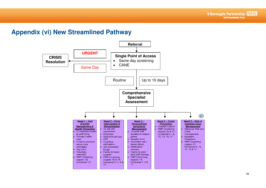## **Appendix (vi) New Streamlined Pathway**

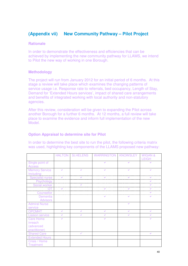#### **(Appendix vii) New Community Pathway – Pilot Project**

#### **Rationale**

In order to demonstrate the effectiveness and efficiencies that can be achieved by implementing the new community pathway for LLAMS, we intend to Pilot the new way of working in one Borough.

#### **Methodology**

The project will run from January 2012 for an initial period of 6 months. At this stage a review will take place which examines the changing patterns of service usage i.e. Response rate to referrals, bed occupancy, Length of Stay, Demand for 'Extended Hours services', impact of shared care arrangements and benefits of integrated working with local authority and non-statutory agencies.

After this review, consideration will be given to expanding the Pilot across another Borough for a further 6 months. At 12 months, a full review will take place to examine the evidence and inform full implementation of the new Model.

#### **Option Appraisal to determine site for Pilot**

In order to determine the best site to run the pilot, the following criteria matrix was used, highlighting key components of the LLAMS proposed new pathway:

|                        | <b>HALTON</b> | <b>St.HELENS</b> | <b>WARRINGTON</b> | <b>KNOWSLEY</b> | <b>WIGAN &amp;</b>           |
|------------------------|---------------|------------------|-------------------|-----------------|------------------------------|
|                        |               |                  | $\checkmark$      | $\checkmark$    | <b>LEIGH</b><br>$\checkmark$ |
| Single point of        |               |                  |                   |                 |                              |
| <b>Access</b>          |               |                  |                   |                 |                              |
| <b>Memory Service</b>  | U             | V                | V                 | V               | $\checkmark$                 |
| Including:             |               |                  |                   |                 |                              |
| Specialist nurse       |               |                  |                   |                 |                              |
| Psychology             |               |                  |                   |                 |                              |
| Social worker          |               |                  |                   |                 |                              |
| OT                     | V             |                  | $\checkmark$      |                 |                              |
| Counsellor             |               |                  |                   |                 |                              |
| Dementia               |               |                  | $\checkmark$      | V               |                              |
| <b>Advisors</b>        |               |                  |                   |                 |                              |
| <b>Admiral Nurse</b>   |               |                  |                   | V               |                              |
| service                |               |                  |                   |                 |                              |
| <b>OPCMHT</b>          | V             | V                | $\checkmark$      | v               | $\checkmark$                 |
| <b>Liaison service</b> | V             | V                | V                 | V               | $\checkmark$                 |
| <b>Care Home</b>       | U             |                  | U                 |                 | U                            |
| inreach                |               |                  |                   |                 |                              |
| (advanced              |               |                  |                   |                 |                              |
| practitioner)          |               |                  |                   |                 |                              |
| <b>Shared Care</b>     |               | $\checkmark$     |                   |                 | $\checkmark$                 |
| <b>Extended Hours</b>  |               |                  |                   |                 |                              |
| Crisis / Home          |               |                  |                   |                 |                              |
| <b>Treatment</b>       |               |                  |                   |                 |                              |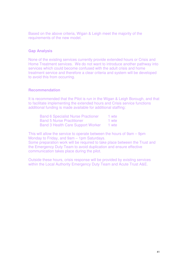Based on the above criteria, Wigan & Leigh meet the majority of the requirements of the new model.

#### **Gap Analysis**

None of the existing services currently provide extended hours or Crisis and Home Treatment services. We do not want to introduce another pathway into services which could become confused with the adult crisis and home treatment service and therefore a clear criteria and system will be developed to avoid this from occurring.

#### **Recommendation**

It is recommended that the Pilot is run in the Wigan & Leigh Borough, and that to facilitate implementing the extended hours and Crisis service functions additional funding is made available for additional staffing:

| <b>Band 6 Specialist Nurse Practioner</b> | 1 wte |
|-------------------------------------------|-------|
| <b>Band 5 Nurse Practitioner</b>          | 1 wte |
| <b>Band 3 Health Care Support Worker</b>  | 1 wte |

This will allow the service to operate between the hours of 9am – 9pm Monday to Friday, and 9am – 1pm Saturdays.

Some preparation work will be required to take place between the Trust and the Emergency Duty Team to avoid duplication and ensure effective communication takes place during the pilot.

Outside these hours, crisis response will be provided by existing services within the Local Authority Emergency Duty Team and Acute Trust A&E.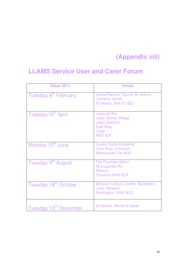# **(Appendix viii)**

## **LLAMS Service User and Carer Forum**

| <b>Dates 2011</b>                 | <b>Venue</b>                                                                                                    |
|-----------------------------------|-----------------------------------------------------------------------------------------------------------------|
| Tuesday 8 <sup>th</sup> February  | United Reform Church St Helens,<br><b>Ormskirk Street,</b><br>St Helens, WA10 1BQ                               |
| Tuesday19th April                 | <b>Legends Bar</b><br><b>Leigh Sports Village</b><br>Leigh Stadium<br><b>Sale Way</b><br>Leigh<br><b>WN74JY</b> |
| Monday 13 <sup>th</sup> June      | <b>Huyton Suite Knowsley</b><br>Civic Way, Liverpool,<br>Merseyside L36 9GD                                     |
| Tuesday 9th August                | <b>The Foundry Halton</b><br>65 Lugsdale Rd<br>Widnes,<br>Cheshire WA8 6DA                                      |
| Tuesday 18th October              | <b>Winwick Leisure Centre, Myddleton</b><br>Lane, Winwick,<br>Warrington, WA2 8LQ                               |
| Tuesday 13 <sup>th</sup> December | <b>St Helens, World of Glass</b>                                                                                |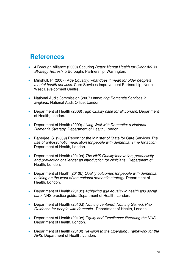## **References**

- 4 Borough Alliance (2009) Securing Better Mental Health for Older Adults: Strategy Refresh. 5 Boroughs Partnership, Warrington.
- Minshull, P. (2007) Age Equality: what does it mean for older people's mental health services. Care Services Improvement Partnership, North West Development Centre.
- National Audit Commission (2007) Improving Dementia Services in England. National Audit Office, London.
- Department of Health (2008) High Quality case for all London. Department of Health, London.
- Department of Health (2009) Living Well with Dementia: a National Dementia Strategy. Department of Health, London.
- Banerjee, S. (2009) Report for the Minister of State for Care Services The use of antipsychotic medication for people with dementia: Time for action. Department of Health, London.
- Department of Health (2010a) The NHS Quality/Innovation, productivity and prevention challenge: an introduction for clinicians. Department of Health, London.
- Department of Heath (2010b) Quality outcomes for people with dementia: building on the work of the national dementia strategy. Department of Health, London.
- Department of Health (2010c) Achieving age equality in health and social care, NHS practice guide. Department of Health, London.
- Department of Health (2010d) Nothing ventured, Nothing Gained: Risk Guidance for people with dementia. Department of Health, London.
- Department of Health (2010e) Equity and Excellence: liberating the NHS. Department of Health, London.
- Department of Health (2010f) Revision to the Operating Framework for the NHS. Department of Health, London.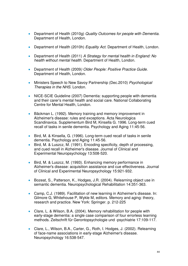- Department of Health (2010g) Quality Outcomes for people with Dementia. Department of Health, London.
- Department of Health (2010h) Equality Act. Department of Health, London.
- Department of Health (2011) A Strategy for mental health in England: No health without mental health. Department of Health, London.
- Department of Health (2009) Older People: Positive Practice Guide. Department of Health, London.
- Ministers Speech to New Savoy Partnership (Dec.2010) Psychological Therapies in the NHS. London.
- NICE-SCIE Guideline (2007) Dementia: supporting people with dementia and their carer's mental health and social care. National Collaborating Centre for Mental Health, London.
- Bäckman L. (1992). Memory training and memory improvement in Alzheimer's disease: rules and exceptions. Acta Neurologica Scandinavica. Supplementum Bird M, Kinsella G. 1996. Long-term cued recall of tasks in senile dementia. Psychology and Aging 11:45-56.
- Bird, M. & Kinsella, G. (1996). Long-term cued recall of tasks in senile dementia. Psychology and Aging 11:45-56.
- Bird, M. & Luszcz, M. (1991). Encoding specificity, depth of processing, and cued recall in Alzheimer's disease. Journal of Clinical and Experimental Neuropsychology 13:508-520.
- Bird, M. & Luszcz, M. (1993). Enhancing memory performance in Alzheimer's disease: acquisition assistance and cue effectiveness. Journal of Clinical and Experimental Neuropsychology 15:921-932.
- Bozeat, S., Patterson, K., Hodges, J.R. (2004). Relearning object use in semantic dementia. Neuropsychological Rehabilitation 14:351-363.
- Camp, C.J. (1989). Facilitation of new learning in Alzheimer's disease. In: Gilmore G, Whitehouse P, Wykle M, editors. Memory and aging: theory, research and practice. New York: Springer. p. 212-225
- Clare, L. & Wilson, B.A. (2004). Memory rehabilitation for people with early-stage dementia: a single case comparison of four errorless learning methods. Zeitschrift für Gerontopsychologie und -psychiatrie 17:109-117.
- Clare, L., Wilson, B.A., Carter, G., Roth, I. Hodges, J. (2002). Relearning of face-name associations in early-stage Alzheimer's disease. Neuropsychology 16:538-547.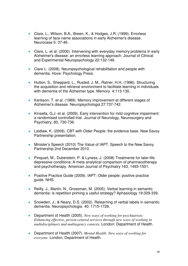- Clare, L., Wilson, B.A., Breen, K., & Hodges, J.R. (1999). Errorless learning of face-name associations in early Alzheimer's disease. Neurocase 5: 37-46.
- Clare, L. et al. (2000). Intervening with everyday memory problems in early Alzheimer's disease: an errorless learning approach. Journal of Clinical and Experimental Neuropsychology 22:132-146.
- Clare L. (2008). Neuropsychological rehabilitation and people with dementia. Hove: Psychology Press.
- Hutton, S., Sheppard, L., Rusted, J. M., Ratner, H.H. (1996). Structuring the acquisition and retrieval environment to facilitate learning in individuals with dementia of the Alzheimer type. Memory 4:113-130.
- Karlsson, T. et al. (1989). Memory improvement at different stages of Alzheimer's disease. Neuropsychologia 27:737-742.
- Kinsella, G.J. et al. (2009). Early intervention for mild cognitive impairment: a randomised controlled trial. Journal of Neurology, Neurosurgery and Psychiatry, 80, 730-736.
- Laidlaw, K. (2009). CBT with Older People: the evidence base. New Savoy Partnership presentation.
- Minister's Speech (2010) The Value of IAPT. Speech to the New Savoy Partnership 2nd December 2010.
- Pinquart, M., Duberstein, P. & Lyness, J. (2008) Treatments for later-life depressive conditions: A meta analytical comparison of pharmacotherapy and psychotherapy. American Journal of Psychiatry 163, 1493-1501.
- Positive Practice Guide (2009). IAPT: Older people: positive practice guide. NHS.
- Reilly, J., Martin, N., Grossman, M. (2005). Verbal learning in semantic dementia: is repetition priming a useful strategy? Aphasiology 19:329-339.
- Snowden, J., & Neary, D.S. (2002). Relearning of verbal labels in semantic dementia. Neuropsychologia 40: 1715-1728.
- Department of Health (2005). *New ways of working for psychiatrists: Enhancing effective, person-centred services through new ways of working in multidisciplinary and multiagency contexts.* London: Department of Health.
- Department of Health (2007). *Mental Health: New ways of working for everyone.* London, Department of Health.